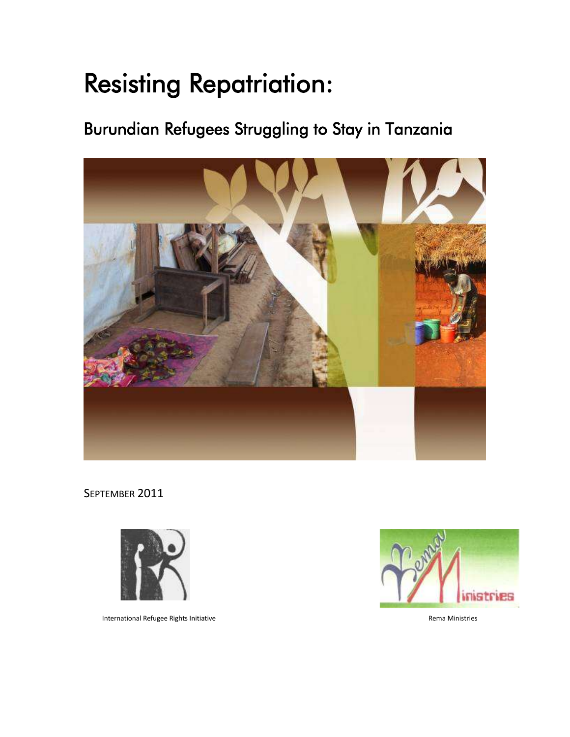# Resisting Repatriation:

# Burundian Refugees Struggling to Stay in Tanzania



SEPTEMBER 2011



International Refugee Rights Initiative **Rema Ministries** Rema Ministries

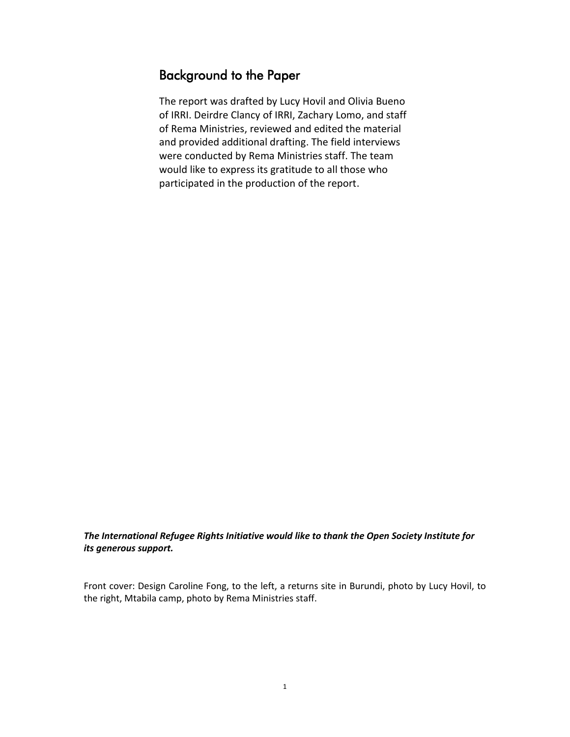# Background to the Paper

The report was drafted by Lucy Hovil and Olivia Bueno of IRRI. Deirdre Clancy of IRRI, Zachary Lomo, and staff of Rema Ministries, reviewed and edited the material and provided additional drafting. The field interviews were conducted by Rema Ministries staff. The team would like to express its gratitude to all those who participated in the production of the report.

*The International Refugee Rights Initiative would like to thank the Open Society Institute for its generous support.*

Front cover: Design Caroline Fong, to the left, a returns site in Burundi, photo by Lucy Hovil, to the right, Mtabila camp, photo by Rema Ministries staff.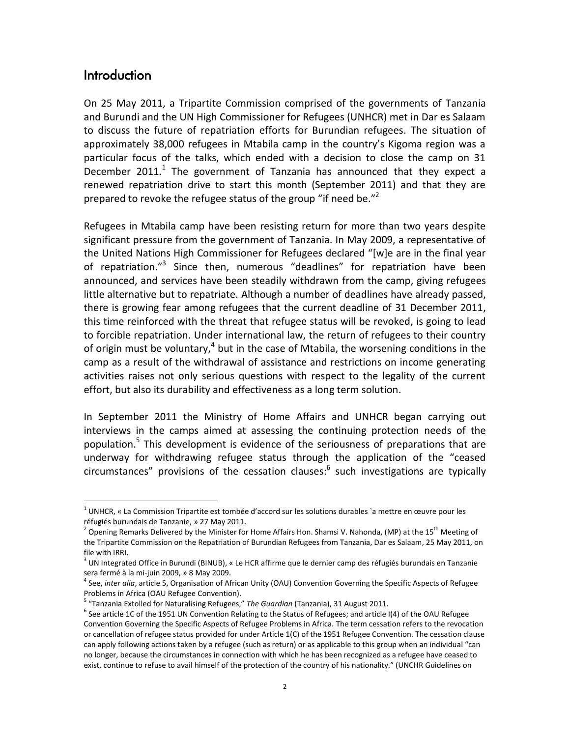#### **Introduction**

 $\overline{a}$ 

On 25 May 2011, a Tripartite Commission comprised of the governments of Tanzania and Burundi and the UN High Commissioner for Refugees (UNHCR) met in Dar es Salaam to discuss the future of repatriation efforts for Burundian refugees. The situation of approximately 38,000 refugees in Mtabila camp in the country's Kigoma region was a particular focus of the talks, which ended with a decision to close the camp on 31 December 2011.<sup>1</sup> The government of Tanzania has announced that they expect a renewed repatriation drive to start this month (September 2011) and that they are prepared to revoke the refugee status of the group "if need be."<sup>2</sup>

Refugees in Mtabila camp have been resisting return for more than two years despite significant pressure from the government of Tanzania. In May 2009, a representative of the United Nations High Commissioner for Refugees declared "[w]e are in the final year of repatriation."<sup>3</sup> Since then, numerous "deadlines" for repatriation have been announced, and services have been steadily withdrawn from the camp, giving refugees little alternative but to repatriate. Although a number of deadlines have already passed, there is growing fear among refugees that the current deadline of 31 December 2011, this time reinforced with the threat that refugee status will be revoked, is going to lead to forcible repatriation. Under international law, the return of refugees to their country of origin must be voluntary,<sup>4</sup> but in the case of Mtabila, the worsening conditions in the camp as a result of the withdrawal of assistance and restrictions on income generating activities raises not only serious questions with respect to the legality of the current effort, but also its durability and effectiveness as a long term solution.

In September 2011 the Ministry of Home Affairs and UNHCR began carrying out interviews in the camps aimed at assessing the continuing protection needs of the population.<sup>5</sup> This development is evidence of the seriousness of preparations that are underway for withdrawing refugee status through the application of the "ceased circumstances" provisions of the cessation clauses:<sup>6</sup> such investigations are typically

<sup>&</sup>lt;sup>1</sup> UNHCR, « La Commission Tripartite est tombée d'accord sur les solutions durables `a mettre en œuvre pour les réfugiés burundais de Tanzanie, » 27 May 2011.

<sup>&</sup>lt;sup>2</sup> Opening Remarks Delivered by the Minister for Home Affairs Hon. Shamsi V. Nahonda, (MP) at the 15<sup>th</sup> Meeting of the Tripartite Commission on the Repatriation of Burundian Refugees from Tanzania, Dar es Salaam, 25 May 2011, on file with IRRI.

<sup>&</sup>lt;sup>3</sup> UN Integrated Office in Burundi (BINUB), « Le HCR affirme que le dernier camp des réfugiés burundais en Tanzanie sera fermé à la mi-juin 2009, » 8 May 2009.

<sup>4</sup> See, *inter alia*, article 5, Organisation of African Unity (OAU) Convention Governing the Specific Aspects of Refugee Problems in Africa (OAU Refugee Convention).

<sup>5</sup> "Tanzania Extolled for Naturalising Refugees," *The Guardian* (Tanzania), 31 August 2011.

 $^6$  See article 1C of the 1951 UN Convention Relating to the Status of Refugees; and article I(4) of the OAU Refugee Convention Governing the Specific Aspects of Refugee Problems in Africa. The term cessation refers to the revocation or cancellation of refugee status provided for under Article 1(C) of the 1951 Refugee Convention. The cessation clause can apply following actions taken by a refugee (such as return) or as applicable to this group when an individual "can no longer, because the circumstances in connection with which he has been recognized as a refugee have ceased to exist, continue to refuse to avail himself of the protection of the country of his nationality." (UNCHR Guidelines on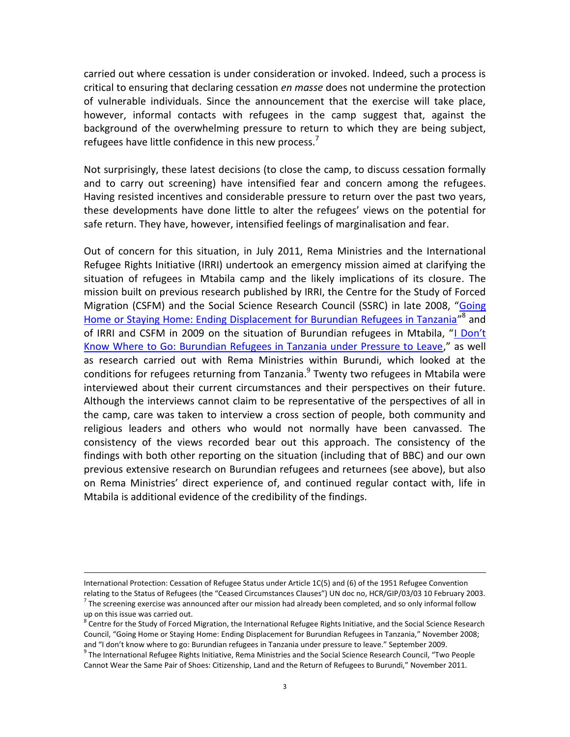carried out where cessation is under consideration or invoked. Indeed, such a process is critical to ensuring that declaring cessation *en masse* does not undermine the protection of vulnerable individuals. Since the announcement that the exercise will take place, however, informal contacts with refugees in the camp suggest that, against the background of the overwhelming pressure to return to which they are being subject, refugees have little confidence in this new process.<sup>7</sup>

Not surprisingly, these latest decisions (to close the camp, to discuss cessation formally and to carry out screening) have intensified fear and concern among the refugees. Having resisted incentives and considerable pressure to return over the past two years, these developments have done little to alter the refugees' views on the potential for safe return. They have, however, intensified feelings of marginalisation and fear.

Out of concern for this situation, in July 2011, Rema Ministries and the International Refugee Rights Initiative (IRRI) undertook an emergency mission aimed at clarifying the situation of refugees in Mtabila camp and the likely implications of its closure. The mission built on previous research published by IRRI, the Centre for the Study of Forced Migration (CSFM) and the Social Science Research Council (SSRC) in late 2008, "[Going](http://www.refugee-rights.org/Publications/2008/Going%20Home%20or%20Staying%20Home_%20Ending%20Displacement%20for%20Burundian%20Refugees%20in%20Tanzania.pdf)  [Home or Staying Home: Ending Displacement for Burundian Refugees in Tanzania](http://www.refugee-rights.org/Publications/2008/Going%20Home%20or%20Staying%20Home_%20Ending%20Displacement%20for%20Burundian%20Refugees%20in%20Tanzania.pdf)"<sup>8</sup> and of IRRI and CSFM in 2009 on the situation of Burundian refugees in Mtabila, ["I Don't](http://www.refugee-rights.org/Publications/Papers/2009/I%20Dont%20Know%20Where%20to%20Go.091709.pdf)  [Know Where to Go: Burundian Refugees in Tanzania under Pressure to Leave,](http://www.refugee-rights.org/Publications/Papers/2009/I%20Dont%20Know%20Where%20to%20Go.091709.pdf)" as well as research carried out with Rema Ministries within Burundi, which looked at the conditions for refugees returning from Tanzania.<sup>9</sup> Twenty two refugees in Mtabila were interviewed about their current circumstances and their perspectives on their future. Although the interviews cannot claim to be representative of the perspectives of all in the camp, care was taken to interview a cross section of people, both community and religious leaders and others who would not normally have been canvassed. The consistency of the views recorded bear out this approach. The consistency of the findings with both other reporting on the situation (including that of BBC) and our own previous extensive research on Burundian refugees and returnees (see above), but also on Rema Ministries' direct experience of, and continued regular contact with, life in Mtabila is additional evidence of the credibility of the findings.

International Protection: Cessation of Refugee Status under Article 1C(5) and (6) of the 1951 Refugee Convention relating to the Status of Refugees (the "Ceased Circumstances Clauses") UN doc no, HCR/GIP/03/03 10 February 2003.

 $^7$  The screening exercise was announced after our mission had already been completed, and so only informal follow up on this issue was carried out.<br><sup>8</sup> Centre for the Study of Forced Migration, the International Refugee Rights Initiative, and the Social Science Research

Council, "Going Home or Staying Home: Ending Displacement for Burundian Refugees in Tanzania," November 2008; and "I don't know where to go: Burundian refugees in Tanzania under pressure to leave." September 2009.

<sup>&</sup>lt;sup>9</sup> The International Refugee Rights Initiative, Rema Ministries and the Social Science Research Council, "Two People Cannot Wear the Same Pair of Shoes: Citizenship, Land and the Return of Refugees to Burundi," November 2011.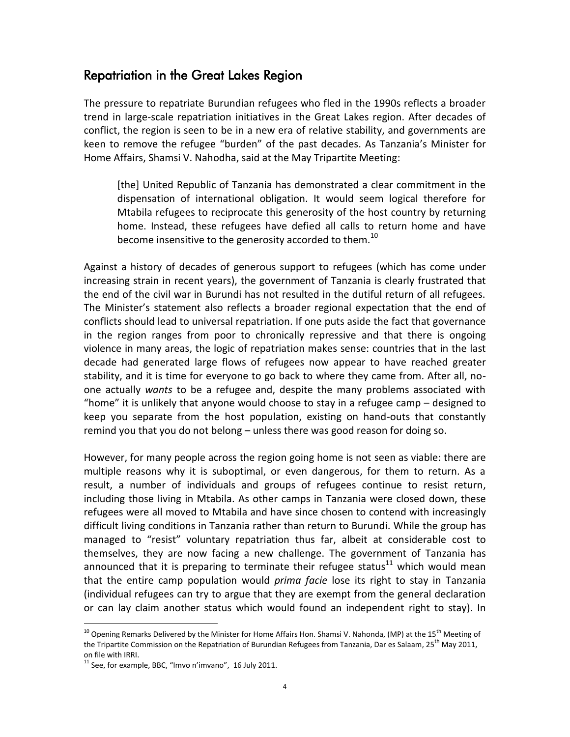### Repatriation in the Great Lakes Region

The pressure to repatriate Burundian refugees who fled in the 1990s reflects a broader trend in large-scale repatriation initiatives in the Great Lakes region. After decades of conflict, the region is seen to be in a new era of relative stability, and governments are keen to remove the refugee "burden" of the past decades. As Tanzania's Minister for Home Affairs, Shamsi V. Nahodha, said at the May Tripartite Meeting:

[the] United Republic of Tanzania has demonstrated a clear commitment in the dispensation of international obligation. It would seem logical therefore for Mtabila refugees to reciprocate this generosity of the host country by returning home. Instead, these refugees have defied all calls to return home and have become insensitive to the generosity accorded to them.<sup>10</sup>

Against a history of decades of generous support to refugees (which has come under increasing strain in recent years), the government of Tanzania is clearly frustrated that the end of the civil war in Burundi has not resulted in the dutiful return of all refugees. The Minister's statement also reflects a broader regional expectation that the end of conflicts should lead to universal repatriation. If one puts aside the fact that governance in the region ranges from poor to chronically repressive and that there is ongoing violence in many areas, the logic of repatriation makes sense: countries that in the last decade had generated large flows of refugees now appear to have reached greater stability, and it is time for everyone to go back to where they came from. After all, noone actually *wants* to be a refugee and, despite the many problems associated with "home" it is unlikely that anyone would choose to stay in a refugee camp – designed to keep you separate from the host population, existing on hand-outs that constantly remind you that you do not belong – unless there was good reason for doing so.

However, for many people across the region going home is not seen as viable: there are multiple reasons why it is suboptimal, or even dangerous, for them to return. As a result, a number of individuals and groups of refugees continue to resist return, including those living in Mtabila. As other camps in Tanzania were closed down, these refugees were all moved to Mtabila and have since chosen to contend with increasingly difficult living conditions in Tanzania rather than return to Burundi. While the group has managed to "resist" voluntary repatriation thus far, albeit at considerable cost to themselves, they are now facing a new challenge. The government of Tanzania has announced that it is preparing to terminate their refugee status<sup>11</sup> which would mean that the entire camp population would *prima facie* lose its right to stay in Tanzania (individual refugees can try to argue that they are exempt from the general declaration or can lay claim another status which would found an independent right to stay). In

<sup>&</sup>lt;sup>10</sup> Opening Remarks Delivered by the Minister for Home Affairs Hon. Shamsi V. Nahonda, (MP) at the 15<sup>th</sup> Meeting of the Tripartite Commission on the Repatriation of Burundian Refugees from Tanzania, Dar es Salaam, 25<sup>th</sup> May 2011, on file with IRRI.

 $11$  See, for example, BBC, "Imvo n'imvano", 16 July 2011.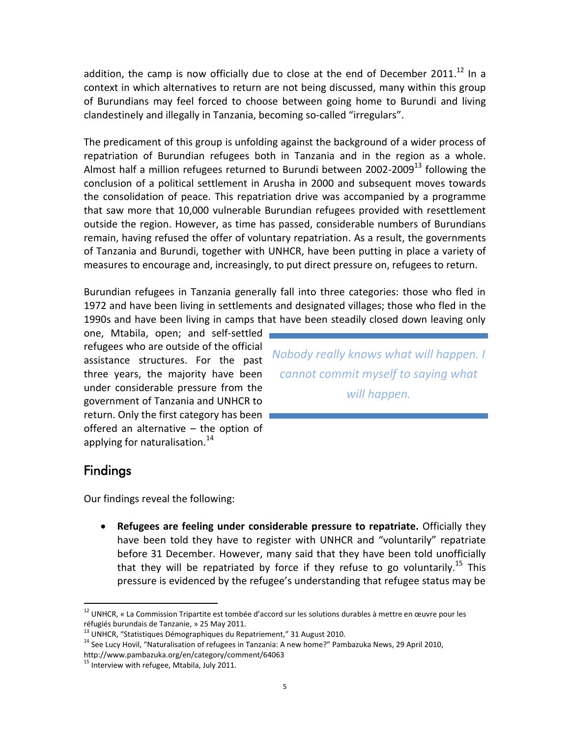addition, the camp is now officially due to close at the end of December 2011.<sup>12</sup> In a context in which alternatives to return are not being discussed, many within this group of Burundians may feel forced to choose between going home to Burundi and living clandestinely and illegally in Tanzania, becoming so-called "irregulars".

The predicament of this group is unfolding against the background of a wider process of repatriation of Burundian refugees both in Tanzania and in the region as a whole. Almost half a million refugees returned to Burundi between 2002-2009 $^{13}$  following the conclusion of a political settlement in Arusha in 2000 and subsequent moves towards the consolidation of peace. This repatriation drive was accompanied by a programme that saw more that 10,000 vulnerable Burundian refugees provided with resettlement outside the region. However, as time has passed, considerable numbers of Burundians remain, having refused the offer of voluntary repatriation. As a result, the governments of Tanzania and Burundi, together with UNHCR, have been putting in place a variety of measures to encourage and, increasingly, to put direct pressure on, refugees to return.

Burundian refugees in Tanzania generally fall into three categories: those who fled in 1972 and have been living in settlements and designated villages; those who fled in the 1990s and have been living in camps that have been steadily closed down leaving only

one, Mtabila, open; and self-settled refugees who are outside of the official assistance structures. For the past three years, the majority have been under considerable pressure from the government of Tanzania and UNHCR to return. Only the first category has been offered an alternative – the option of applying for naturalisation.<sup>14</sup>

*Nobody really knows what will happen. I cannot commit myself to saying what will happen.* 

# Findings

 $\overline{a}$ 

Our findings reveal the following:

 **Refugees are feeling under considerable pressure to repatriate.** Officially they have been told they have to register with UNHCR and "voluntarily" repatriate before 31 December. However, many said that they have been told unofficially that they will be repatriated by force if they refuse to go voluntarily.<sup>15</sup> This pressure is evidenced by the refugee's understanding that refugee status may be

<sup>&</sup>lt;sup>12</sup> UNHCR, « La Commission Tripartite est tombée d'accord sur les solutions durables à mettre en œuvre pour les réfugiés burundais de Tanzanie, » 25 May 2011.

 $13$  UNHCR, "Statistiques Démographiques du Repatriement," 31 August 2010.

<sup>&</sup>lt;sup>14</sup> See Lucy Hovil, "Naturalisation of refugees in Tanzania: A new home?" Pambazuka News, 29 April 2010,

http://www.pambazuka.org/en/category/comment/64063  $15$  Interview with refugee, Mtabila, July 2011.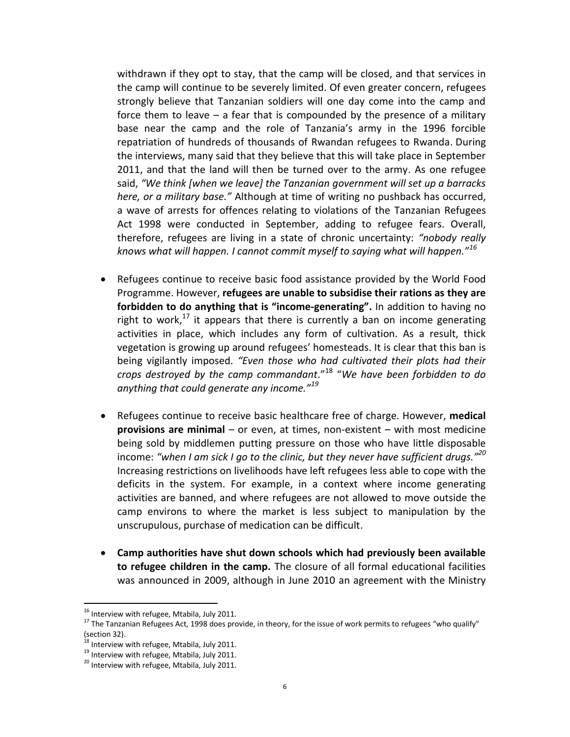withdrawn if they opt to stay, that the camp will be closed, and that services in the camp will continue to be severely limited. Of even greater concern, refugees strongly believe that Tanzanian soldiers will one day come into the camp and force them to leave – a fear that is compounded by the presence of a military base near the camp and the role of Tanzania's army in the 1996 forcible repatriation of hundreds of thousands of Rwandan refugees to Rwanda. During the interviews, many said that they believe that this will take place in September 2011, and that the land will then be turned over to the army. As one refugee said, *"We think [when we leave] the Tanzanian government will set up a barracks here, or a military base."* Although at time of writing no pushback has occurred, a wave of arrests for offences relating to violations of the Tanzanian Refugees Act 1998 were conducted in September, adding to refugee fears. Overall, therefore, refugees are living in a state of chronic uncertainty: *"nobody really knows what will happen. I cannot commit myself to saying what will happen."<sup>16</sup>*

- Refugees continue to receive basic food assistance provided by the World Food Programme. However, **refugees are unable to subsidise their rations as they are forbidden to do anything that is "income-generating".** In addition to having no right to work,<sup>17</sup> it appears that there is currently a ban on income generating activities in place, which includes any form of cultivation. As a result, thick vegetation is growing up around refugees' homesteads. It is clear that this ban is being vigilantly imposed. *"Even those who had cultivated their plots had their crops destroyed by the camp commandant*."<sup>18</sup> "*We have been forbidden to do anything that could generate any income."<sup>19</sup>*
- Refugees continue to receive basic healthcare free of charge. However, **medical provisions are minimal** – or even, at times, non-existent – with most medicine being sold by middlemen putting pressure on those who have little disposable income: *"when I am sick I go to the clinic, but they never have sufficient drugs."<sup>20</sup>* Increasing restrictions on livelihoods have left refugees less able to cope with the deficits in the system. For example, in a context where income generating activities are banned, and where refugees are not allowed to move outside the camp environs to where the market is less subject to manipulation by the unscrupulous, purchase of medication can be difficult.
- **Camp authorities have shut down schools which had previously been available to refugee children in the camp.** The closure of all formal educational facilities was announced in 2009, although in June 2010 an agreement with the Ministry

<sup>&</sup>lt;sup>16</sup> Interview with refugee, Mtabila, July 2011.

<sup>&</sup>lt;sup>17</sup> The Tanzanian Refugees Act, 1998 does provide, in theory, for the issue of work permits to refugees "who qualify"  $(section 32).$ <sup>18</sup>

 $3$  Interview with refugee, Mtabila, July 2011.

<sup>&</sup>lt;sup>19</sup> Interview with refugee, Mtabila, July 2011.

<sup>&</sup>lt;sup>20</sup> Interview with refugee, Mtabila, July 2011.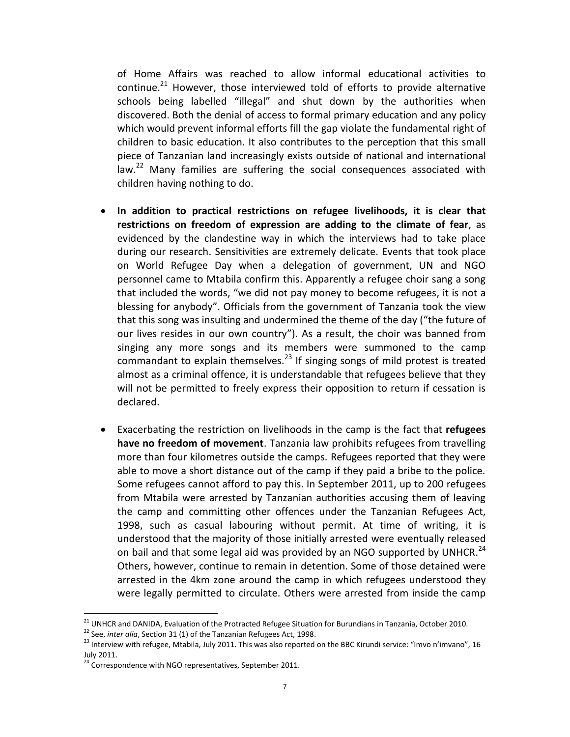of Home Affairs was reached to allow informal educational activities to continue. $^{21}$  However, those interviewed told of efforts to provide alternative schools being labelled "illegal" and shut down by the authorities when discovered. Both the denial of access to formal primary education and any policy which would prevent informal efforts fill the gap violate the fundamental right of children to basic education. It also contributes to the perception that this small piece of Tanzanian land increasingly exists outside of national and international law.<sup>22</sup> Many families are suffering the social consequences associated with children having nothing to do.

- **In addition to practical restrictions on refugee livelihoods, it is clear that restrictions on freedom of expression are adding to the climate of fear**, as evidenced by the clandestine way in which the interviews had to take place during our research. Sensitivities are extremely delicate. Events that took place on World Refugee Day when a delegation of government, UN and NGO personnel came to Mtabila confirm this. Apparently a refugee choir sang a song that included the words, "we did not pay money to become refugees, it is not a blessing for anybody". Officials from the government of Tanzania took the view that this song was insulting and undermined the theme of the day ("the future of our lives resides in our own country"). As a result, the choir was banned from singing any more songs and its members were summoned to the camp commandant to explain themselves. $^{23}$  If singing songs of mild protest is treated almost as a criminal offence, it is understandable that refugees believe that they will not be permitted to freely express their opposition to return if cessation is declared.
- Exacerbating the restriction on livelihoods in the camp is the fact that **refugees have no freedom of movement**. Tanzania law prohibits refugees from travelling more than four kilometres outside the camps. Refugees reported that they were able to move a short distance out of the camp if they paid a bribe to the police. Some refugees cannot afford to pay this. In September 2011, up to 200 refugees from Mtabila were arrested by Tanzanian authorities accusing them of leaving the camp and committing other offences under the Tanzanian Refugees Act, 1998, such as casual labouring without permit. At time of writing, it is understood that the majority of those initially arrested were eventually released on bail and that some legal aid was provided by an NGO supported by UNHCR.<sup>24</sup> Others, however, continue to remain in detention. Some of those detained were arrested in the 4km zone around the camp in which refugees understood they were legally permitted to circulate. Others were arrested from inside the camp

 $^{21}$  UNHCR and DANIDA, Evaluation of the Protracted Refugee Situation for Burundians in Tanzania, October 2010.

<sup>22</sup> See, *inter alia*, Section 31 (1) of the Tanzanian Refugees Act, 1998.

<sup>&</sup>lt;sup>23</sup> Interview with refugee, Mtabila, July 2011. This was also reported on the BBC Kirundi service: "Imvo n'imvano", 16 July 2011.

 $24$  Correspondence with NGO representatives, September 2011.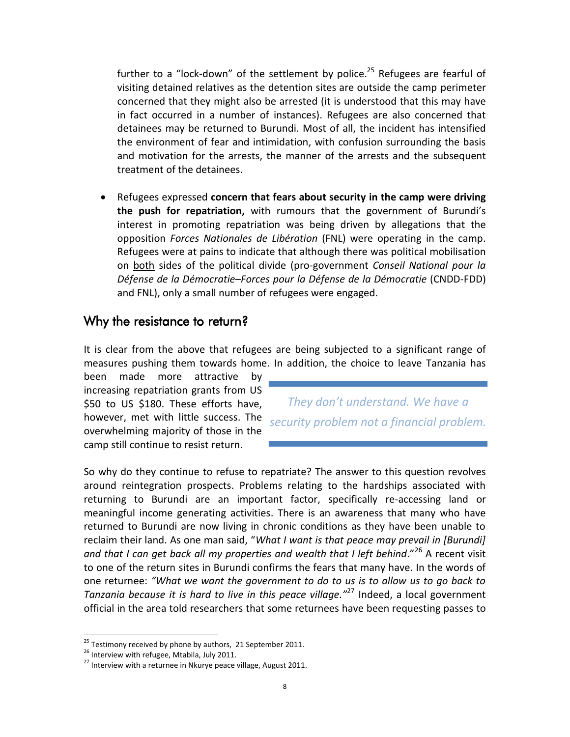further to a "lock-down" of the settlement by police.<sup>25</sup> Refugees are fearful of visiting detained relatives as the detention sites are outside the camp perimeter concerned that they might also be arrested (it is understood that this may have in fact occurred in a number of instances). Refugees are also concerned that detainees may be returned to Burundi. Most of all, the incident has intensified the environment of fear and intimidation, with confusion surrounding the basis and motivation for the arrests, the manner of the arrests and the subsequent treatment of the detainees.

 Refugees expressed **concern that fears about security in the camp were driving the push for repatriation,** with rumours that the government of Burundi's interest in promoting repatriation was being driven by allegations that the opposition *Forces Nationales de Libération* (FNL) were operating in the camp. Refugees were at pains to indicate that although there was political mobilisation on both sides of the political divide (pro-government *Conseil National pour la Défense de la Démocratie–Forces pour la Défense de la Démocratie* (CNDD-FDD) and FNL), only a small number of refugees were engaged.

#### Why the resistance to return?

It is clear from the above that refugees are being subjected to a significant range of measures pushing them towards home. In addition, the choice to leave Tanzania has

been made more attractive by increasing repatriation grants from US \$50 to US \$180. These efforts have, however, met with little success. The overwhelming majority of those in the camp still continue to resist return.

*They don't understand. We have a security problem not a financial problem.* 

So why do they continue to refuse to repatriate? The answer to this question revolves around reintegration prospects. Problems relating to the hardships associated with returning to Burundi are an important factor, specifically re-accessing land or meaningful income generating activities. There is an awareness that many who have returned to Burundi are now living in chronic conditions as they have been unable to reclaim their land. As one man said, "*What I want is that peace may prevail in [Burundi] and that I can get back all my properties and wealth that I left behind*."<sup>26</sup> A recent visit to one of the return sites in Burundi confirms the fears that many have. In the words of one returnee: *"What we want the government to do to us is to allow us to go back to Tanzania because it is hard to live in this peace village."*<sup>27</sup> Indeed, a local government official in the area told researchers that some returnees have been requesting passes to

 $^{25}$  Testimony received by phone by authors, 21 September 2011.

<sup>&</sup>lt;sup>26</sup> Interview with refugee, Mtabila, July 2011.

 $27$  Interview with a returnee in Nkurye peace village, August 2011.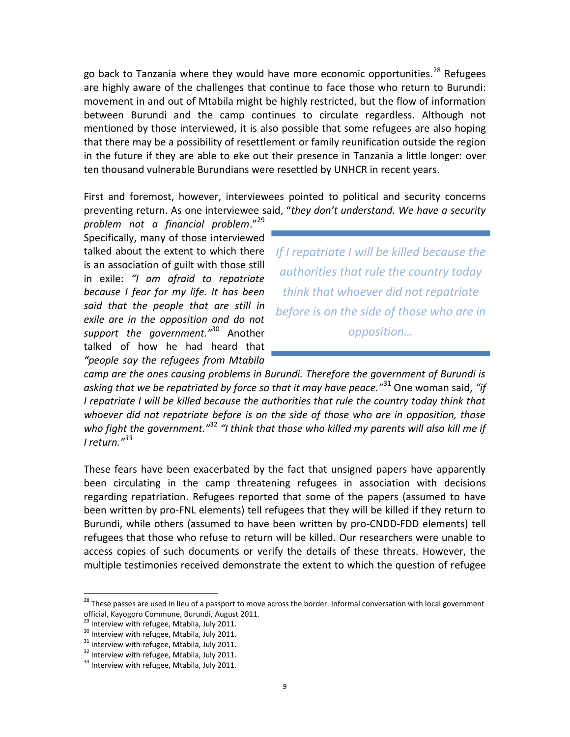go back to Tanzania where they would have more economic opportunities.<sup>28</sup> Refugees are highly aware of the challenges that continue to face those who return to Burundi: movement in and out of Mtabila might be highly restricted, but the flow of information between Burundi and the camp continues to circulate regardless. Although not mentioned by those interviewed, it is also possible that some refugees are also hoping that there may be a possibility of resettlement or family reunification outside the region in the future if they are able to eke out their presence in Tanzania a little longer: over ten thousand vulnerable Burundians were resettled by UNHCR in recent years.

First and foremost, however, interviewees pointed to political and security concerns preventing return. As one interviewee said, "*they don't understand. We have a security* 

*problem not a financial problem*."<sup>29</sup> Specifically, many of those interviewed talked about the extent to which there is an association of guilt with those still in exile: *"I am afraid to repatriate because I fear for my life. It has been said that the people that are still in exile are in the opposition and do not support the government."*<sup>30</sup> Another talked of how he had heard that *"people say the refugees from Mtabila* 

*If I repatriate I will be killed because the authorities that rule the country today think that whoever did not repatriate before is on the side of those who are in opposition…* 

*camp are the ones causing problems in Burundi. Therefore the government of Burundi is asking that we be repatriated by force so that it may have peace."*<sup>31</sup> One woman said, *"if I repatriate I will be killed because the authorities that rule the country today think that whoever did not repatriate before is on the side of those who are in opposition, those who fight the government."*<sup>32</sup> *"I think that those who killed my parents will also kill me if I return."<sup>33</sup>*

These fears have been exacerbated by the fact that unsigned papers have apparently been circulating in the camp threatening refugees in association with decisions regarding repatriation. Refugees reported that some of the papers (assumed to have been written by pro-FNL elements) tell refugees that they will be killed if they return to Burundi, while others (assumed to have been written by pro-CNDD-FDD elements) tell refugees that those who refuse to return will be killed. Our researchers were unable to access copies of such documents or verify the details of these threats. However, the multiple testimonies received demonstrate the extent to which the question of refugee

<sup>&</sup>lt;sup>28</sup> These passes are used in lieu of a passport to move across the border. Informal conversation with local government official, Kayogoro Commune, Burundi, August 2011.

<sup>&</sup>lt;sup>29</sup> Interview with refugee, Mtabila, July 2011.

<sup>&</sup>lt;sup>30</sup> Interview with refugee, Mtabila, July 2011.

<sup>&</sup>lt;sup>31</sup> Interview with refugee, Mtabila, July 2011.

<sup>&</sup>lt;sup>32</sup> Interview with refugee, Mtabila, July 2011.

<sup>&</sup>lt;sup>33</sup> Interview with refugee, Mtabila, July 2011.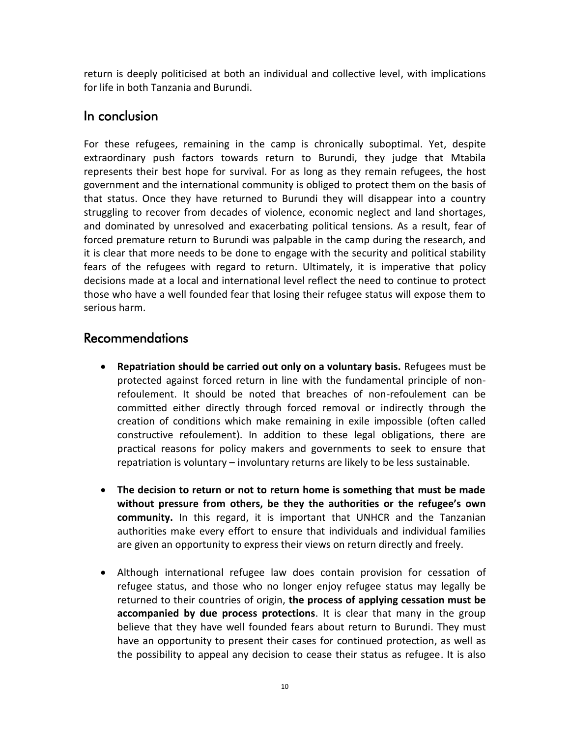return is deeply politicised at both an individual and collective level, with implications for life in both Tanzania and Burundi.

## In conclusion

For these refugees, remaining in the camp is chronically suboptimal. Yet, despite extraordinary push factors towards return to Burundi, they judge that Mtabila represents their best hope for survival. For as long as they remain refugees, the host government and the international community is obliged to protect them on the basis of that status. Once they have returned to Burundi they will disappear into a country struggling to recover from decades of violence, economic neglect and land shortages, and dominated by unresolved and exacerbating political tensions. As a result, fear of forced premature return to Burundi was palpable in the camp during the research, and it is clear that more needs to be done to engage with the security and political stability fears of the refugees with regard to return. Ultimately, it is imperative that policy decisions made at a local and international level reflect the need to continue to protect those who have a well founded fear that losing their refugee status will expose them to serious harm.

# Recommendations

- **Repatriation should be carried out only on a voluntary basis.** Refugees must be protected against forced return in line with the fundamental principle of nonrefoulement. It should be noted that breaches of non-refoulement can be committed either directly through forced removal or indirectly through the creation of conditions which make remaining in exile impossible (often called constructive refoulement). In addition to these legal obligations, there are practical reasons for policy makers and governments to seek to ensure that repatriation is voluntary – involuntary returns are likely to be less sustainable.
- **The decision to return or not to return home is something that must be made without pressure from others, be they the authorities or the refugee's own community.** In this regard, it is important that UNHCR and the Tanzanian authorities make every effort to ensure that individuals and individual families are given an opportunity to express their views on return directly and freely.
- Although international refugee law does contain provision for cessation of refugee status, and those who no longer enjoy refugee status may legally be returned to their countries of origin, **the process of applying cessation must be accompanied by due process protections**. It is clear that many in the group believe that they have well founded fears about return to Burundi. They must have an opportunity to present their cases for continued protection, as well as the possibility to appeal any decision to cease their status as refugee. It is also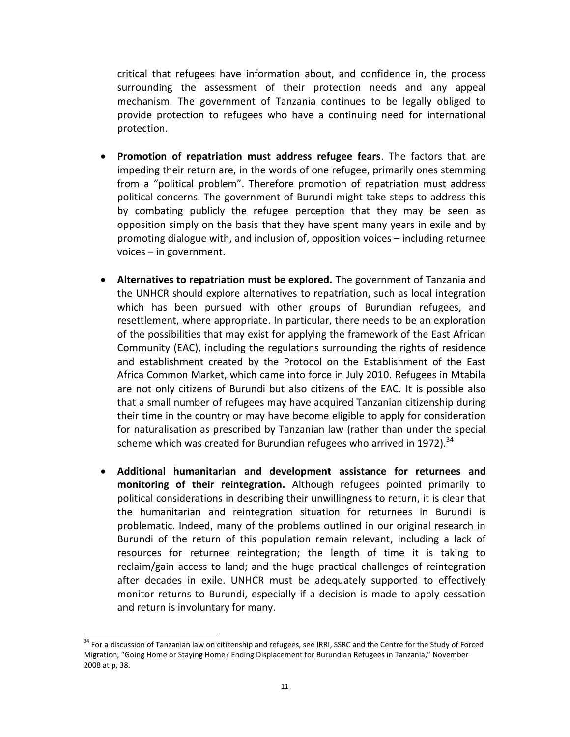critical that refugees have information about, and confidence in, the process surrounding the assessment of their protection needs and any appeal mechanism. The government of Tanzania continues to be legally obliged to provide protection to refugees who have a continuing need for international protection.

- **Promotion of repatriation must address refugee fears**. The factors that are impeding their return are, in the words of one refugee, primarily ones stemming from a "political problem". Therefore promotion of repatriation must address political concerns. The government of Burundi might take steps to address this by combating publicly the refugee perception that they may be seen as opposition simply on the basis that they have spent many years in exile and by promoting dialogue with, and inclusion of, opposition voices – including returnee voices – in government.
- **Alternatives to repatriation must be explored.** The government of Tanzania and the UNHCR should explore alternatives to repatriation, such as local integration which has been pursued with other groups of Burundian refugees, and resettlement, where appropriate. In particular, there needs to be an exploration of the possibilities that may exist for applying the framework of the East African Community (EAC), including the regulations surrounding the rights of residence and establishment created by the Protocol on the Establishment of the East Africa Common Market, which came into force in July 2010. Refugees in Mtabila are not only citizens of Burundi but also citizens of the EAC. It is possible also that a small number of refugees may have acquired Tanzanian citizenship during their time in the country or may have become eligible to apply for consideration for naturalisation as prescribed by Tanzanian law (rather than under the special scheme which was created for Burundian refugees who arrived in 1972). $34$
- **Additional humanitarian and development assistance for returnees and monitoring of their reintegration.** Although refugees pointed primarily to political considerations in describing their unwillingness to return, it is clear that the humanitarian and reintegration situation for returnees in Burundi is problematic. Indeed, many of the problems outlined in our original research in Burundi of the return of this population remain relevant, including a lack of resources for returnee reintegration; the length of time it is taking to reclaim/gain access to land; and the huge practical challenges of reintegration after decades in exile. UNHCR must be adequately supported to effectively monitor returns to Burundi, especially if a decision is made to apply cessation and return is involuntary for many.

<sup>&</sup>lt;sup>34</sup> For a discussion of Tanzanian law on citizenship and refugees, see IRRI, SSRC and the Centre for the Study of Forced Migration, "Going Home or Staying Home? Ending Displacement for Burundian Refugees in Tanzania," November 2008 at p, 38.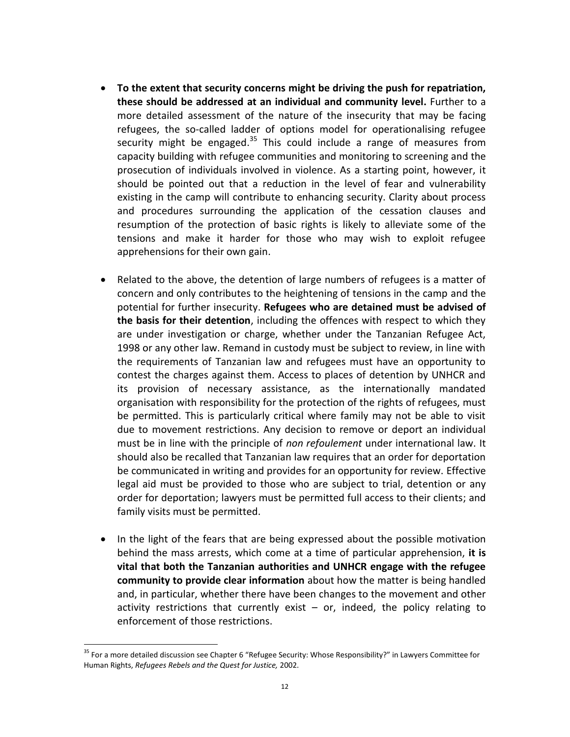- **To the extent that security concerns might be driving the push for repatriation, these should be addressed at an individual and community level.** Further to a more detailed assessment of the nature of the insecurity that may be facing refugees, the so-called ladder of options model for operationalising refugee security might be engaged.<sup>35</sup> This could include a range of measures from capacity building with refugee communities and monitoring to screening and the prosecution of individuals involved in violence. As a starting point, however, it should be pointed out that a reduction in the level of fear and vulnerability existing in the camp will contribute to enhancing security. Clarity about process and procedures surrounding the application of the cessation clauses and resumption of the protection of basic rights is likely to alleviate some of the tensions and make it harder for those who may wish to exploit refugee apprehensions for their own gain.
- Related to the above, the detention of large numbers of refugees is a matter of concern and only contributes to the heightening of tensions in the camp and the potential for further insecurity. **Refugees who are detained must be advised of the basis for their detention**, including the offences with respect to which they are under investigation or charge, whether under the Tanzanian Refugee Act, 1998 or any other law. Remand in custody must be subject to review, in line with the requirements of Tanzanian law and refugees must have an opportunity to contest the charges against them. Access to places of detention by UNHCR and its provision of necessary assistance, as the internationally mandated organisation with responsibility for the protection of the rights of refugees, must be permitted. This is particularly critical where family may not be able to visit due to movement restrictions. Any decision to remove or deport an individual must be in line with the principle of *non refoulement* under international law. It should also be recalled that Tanzanian law requires that an order for deportation be communicated in writing and provides for an opportunity for review. Effective legal aid must be provided to those who are subject to trial, detention or any order for deportation; lawyers must be permitted full access to their clients; and family visits must be permitted.
- In the light of the fears that are being expressed about the possible motivation behind the mass arrests, which come at a time of particular apprehension, **it is vital that both the Tanzanian authorities and UNHCR engage with the refugee community to provide clear information** about how the matter is being handled and, in particular, whether there have been changes to the movement and other activity restrictions that currently exist  $-$  or, indeed, the policy relating to enforcement of those restrictions.

<sup>&</sup>lt;sup>35</sup> For a more detailed discussion see Chapter 6 "Refugee Security: Whose Responsibility?" in Lawyers Committee for Human Rights, *Refugees Rebels and the Quest for Justice,* 2002.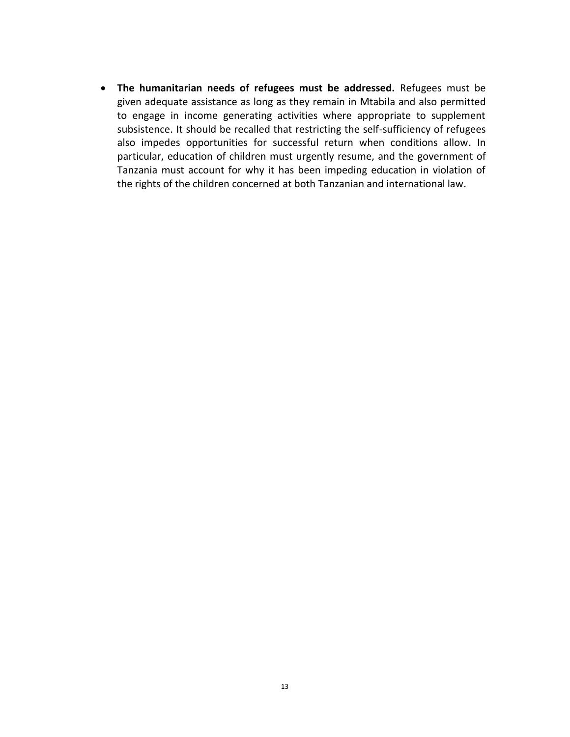**The humanitarian needs of refugees must be addressed.** Refugees must be given adequate assistance as long as they remain in Mtabila and also permitted to engage in income generating activities where appropriate to supplement subsistence. It should be recalled that restricting the self-sufficiency of refugees also impedes opportunities for successful return when conditions allow. In particular, education of children must urgently resume, and the government of Tanzania must account for why it has been impeding education in violation of the rights of the children concerned at both Tanzanian and international law.